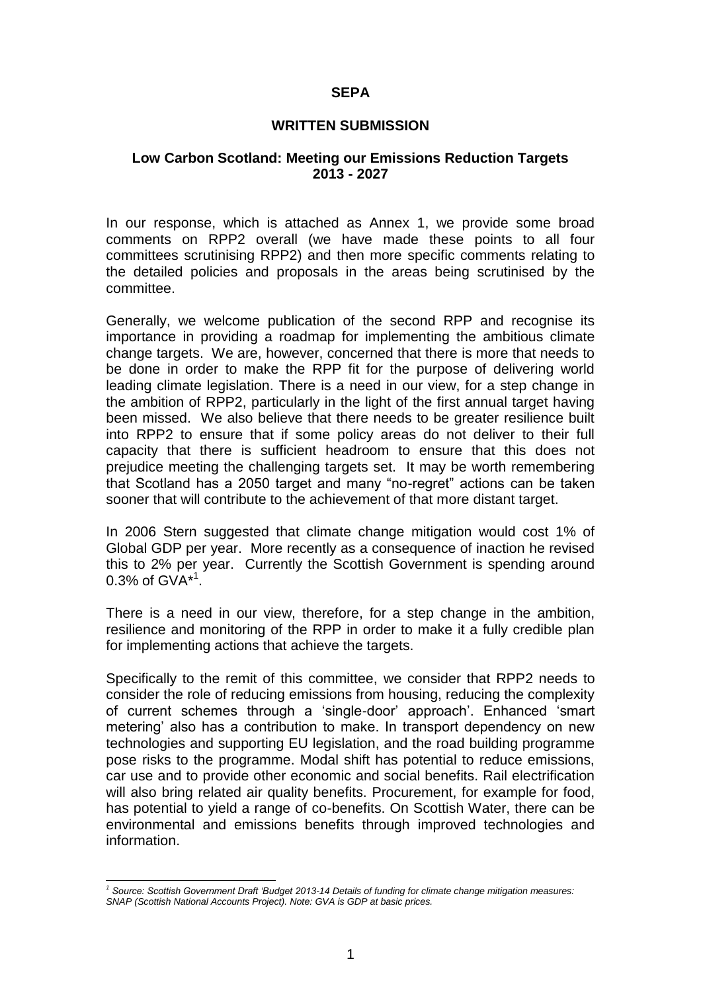#### **SEPA**

#### **WRITTEN SUBMISSION**

#### **Low Carbon Scotland: Meeting our Emissions Reduction Targets 2013 - 2027**

In our response, which is attached as Annex 1, we provide some broad comments on RPP2 overall (we have made these points to all four committees scrutinising RPP2) and then more specific comments relating to the detailed policies and proposals in the areas being scrutinised by the committee.

Generally, we welcome publication of the second RPP and recognise its importance in providing a roadmap for implementing the ambitious climate change targets. We are, however, concerned that there is more that needs to be done in order to make the RPP fit for the purpose of delivering world leading climate legislation. There is a need in our view, for a step change in the ambition of RPP2, particularly in the light of the first annual target having been missed. We also believe that there needs to be greater resilience built into RPP2 to ensure that if some policy areas do not deliver to their full capacity that there is sufficient headroom to ensure that this does not prejudice meeting the challenging targets set. It may be worth remembering that Scotland has a 2050 target and many "no-regret" actions can be taken sooner that will contribute to the achievement of that more distant target.

In 2006 Stern suggested that climate change mitigation would cost 1% of Global GDP per year. More recently as a consequence of inaction he revised this to 2% per year. Currently the Scottish Government is spending around 0.3% of  $GVA^{*1}$ .

There is a need in our view, therefore, for a step change in the ambition, resilience and monitoring of the RPP in order to make it a fully credible plan for implementing actions that achieve the targets.

Specifically to the remit of this committee, we consider that RPP2 needs to consider the role of reducing emissions from housing, reducing the complexity of current schemes through a 'single-door' approach'. Enhanced 'smart metering' also has a contribution to make. In transport dependency on new technologies and supporting EU legislation, and the road building programme pose risks to the programme. Modal shift has potential to reduce emissions, car use and to provide other economic and social benefits. Rail electrification will also bring related air quality benefits. Procurement, for example for food, has potential to yield a range of co-benefits. On Scottish Water, there can be environmental and emissions benefits through improved technologies and information.

l *<sup>1</sup> Source: Scottish Government Draft 'Budget 2013-14 Details of funding for climate change mitigation measures: SNAP (Scottish National Accounts Project). Note: GVA is GDP at basic prices.*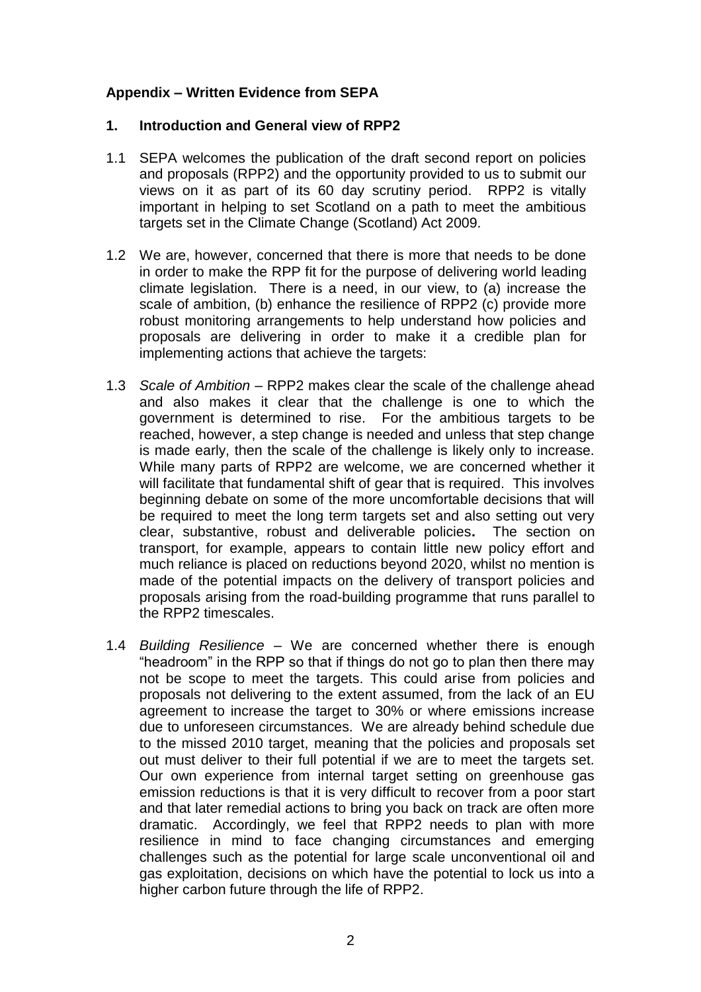#### **Appendix – Written Evidence from SEPA**

#### **1. Introduction and General view of RPP2**

- 1.1 SEPA welcomes the publication of the draft second report on policies and proposals (RPP2) and the opportunity provided to us to submit our views on it as part of its 60 day scrutiny period. RPP2 is vitally important in helping to set Scotland on a path to meet the ambitious targets set in the Climate Change (Scotland) Act 2009.
- 1.2 We are, however, concerned that there is more that needs to be done in order to make the RPP fit for the purpose of delivering world leading climate legislation. There is a need, in our view, to (a) increase the scale of ambition, (b) enhance the resilience of RPP2 (c) provide more robust monitoring arrangements to help understand how policies and proposals are delivering in order to make it a credible plan for implementing actions that achieve the targets:
- 1.3 *Scale of Ambition* RPP2 makes clear the scale of the challenge ahead and also makes it clear that the challenge is one to which the government is determined to rise. For the ambitious targets to be reached, however, a step change is needed and unless that step change is made early, then the scale of the challenge is likely only to increase. While many parts of RPP2 are welcome, we are concerned whether it will facilitate that fundamental shift of gear that is required. This involves beginning debate on some of the more uncomfortable decisions that will be required to meet the long term targets set and also setting out very clear, substantive, robust and deliverable policies**.** The section on transport, for example, appears to contain little new policy effort and much reliance is placed on reductions beyond 2020, whilst no mention is made of the potential impacts on the delivery of transport policies and proposals arising from the road-building programme that runs parallel to the RPP2 timescales.
- 1.4 *Building Resilience* We are concerned whether there is enough "headroom" in the RPP so that if things do not go to plan then there may not be scope to meet the targets. This could arise from policies and proposals not delivering to the extent assumed, from the lack of an EU agreement to increase the target to 30% or where emissions increase due to unforeseen circumstances. We are already behind schedule due to the missed 2010 target, meaning that the policies and proposals set out must deliver to their full potential if we are to meet the targets set. Our own experience from internal target setting on greenhouse gas emission reductions is that it is very difficult to recover from a poor start and that later remedial actions to bring you back on track are often more dramatic. Accordingly, we feel that RPP2 needs to plan with more resilience in mind to face changing circumstances and emerging challenges such as the potential for large scale unconventional oil and gas exploitation, decisions on which have the potential to lock us into a higher carbon future through the life of RPP2.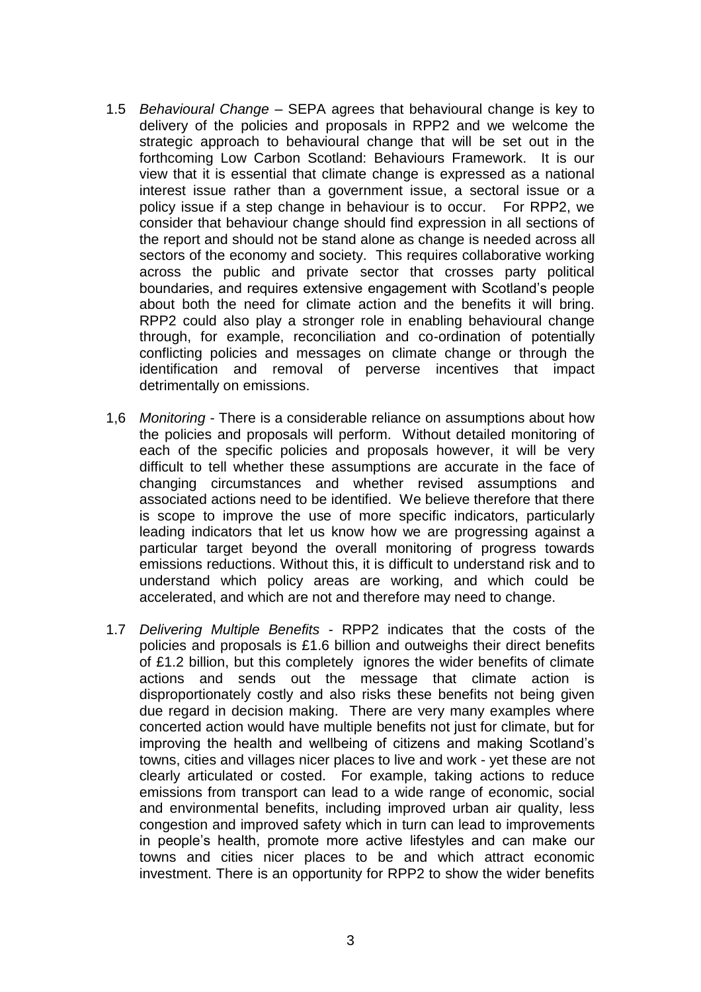- 1.5 *Behavioural Change* SEPA agrees that behavioural change is key to delivery of the policies and proposals in RPP2 and we welcome the strategic approach to behavioural change that will be set out in the forthcoming Low Carbon Scotland: Behaviours Framework. It is our view that it is essential that climate change is expressed as a national interest issue rather than a government issue, a sectoral issue or a policy issue if a step change in behaviour is to occur. For RPP2, we consider that behaviour change should find expression in all sections of the report and should not be stand alone as change is needed across all sectors of the economy and society. This requires collaborative working across the public and private sector that crosses party political boundaries, and requires extensive engagement with Scotland's people about both the need for climate action and the benefits it will bring. RPP2 could also play a stronger role in enabling behavioural change through, for example, reconciliation and co-ordination of potentially conflicting policies and messages on climate change or through the identification and removal of perverse incentives that impact detrimentally on emissions.
- 1,6 *Monitoring* There is a considerable reliance on assumptions about how the policies and proposals will perform. Without detailed monitoring of each of the specific policies and proposals however, it will be very difficult to tell whether these assumptions are accurate in the face of changing circumstances and whether revised assumptions and associated actions need to be identified. We believe therefore that there is scope to improve the use of more specific indicators, particularly leading indicators that let us know how we are progressing against a particular target beyond the overall monitoring of progress towards emissions reductions. Without this, it is difficult to understand risk and to understand which policy areas are working, and which could be accelerated, and which are not and therefore may need to change.
- 1.7 *Delivering Multiple Benefits* RPP2 indicates that the costs of the policies and proposals is £1.6 billion and outweighs their direct benefits of £1.2 billion, but this completely ignores the wider benefits of climate actions and sends out the message that climate action is disproportionately costly and also risks these benefits not being given due regard in decision making. There are very many examples where concerted action would have multiple benefits not just for climate, but for improving the health and wellbeing of citizens and making Scotland's towns, cities and villages nicer places to live and work - yet these are not clearly articulated or costed. For example, taking actions to reduce emissions from transport can lead to a wide range of economic, social and environmental benefits, including improved urban air quality, less congestion and improved safety which in turn can lead to improvements in people's health, promote more active lifestyles and can make our towns and cities nicer places to be and which attract economic investment. There is an opportunity for RPP2 to show the wider benefits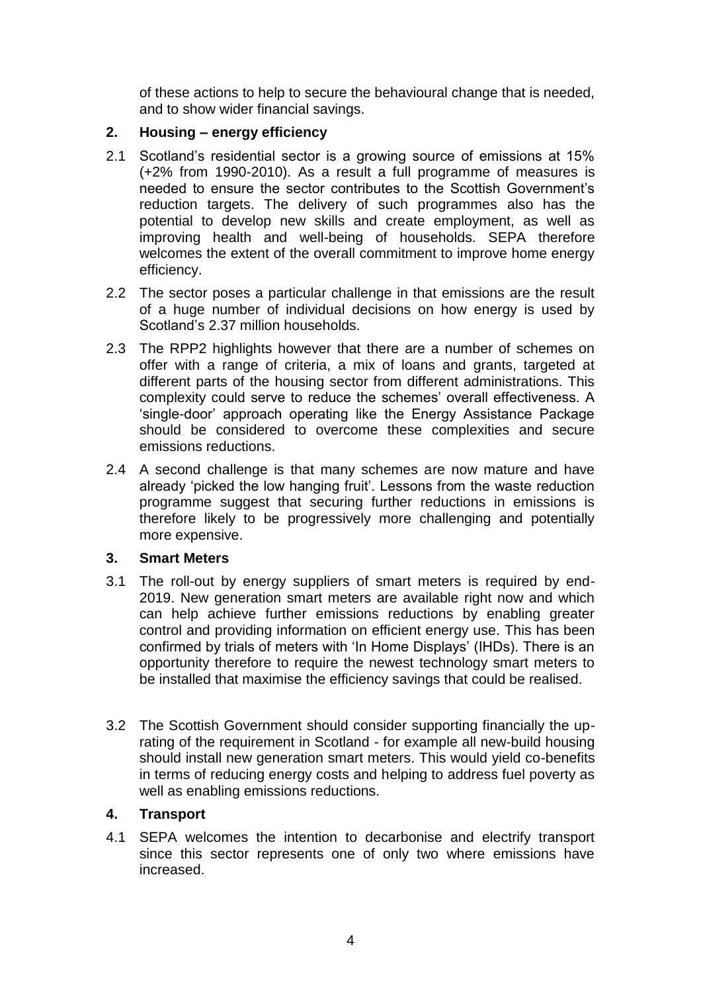of these actions to help to secure the behavioural change that is needed, and to show wider financial savings.

# **2. Housing – energy efficiency**

- 2.1 Scotland's residential sector is a growing source of emissions at 15% (+2% from 1990-2010). As a result a full programme of measures is needed to ensure the sector contributes to the Scottish Government's reduction targets. The delivery of such programmes also has the potential to develop new skills and create employment, as well as improving health and well-being of households. SEPA therefore welcomes the extent of the overall commitment to improve home energy efficiency.
- 2.2 The sector poses a particular challenge in that emissions are the result of a huge number of individual decisions on how energy is used by Scotland's 2.37 million households.
- 2.3 The RPP2 highlights however that there are a number of schemes on offer with a range of criteria, a mix of loans and grants, targeted at different parts of the housing sector from different administrations. This complexity could serve to reduce the schemes' overall effectiveness. A 'single-door' approach operating like the Energy Assistance Package should be considered to overcome these complexities and secure emissions reductions.
- 2.4 A second challenge is that many schemes are now mature and have already 'picked the low hanging fruit'. Lessons from the waste reduction programme suggest that securing further reductions in emissions is therefore likely to be progressively more challenging and potentially more expensive.

# **3. Smart Meters**

- 3.1 The roll-out by energy suppliers of smart meters is required by end-2019. New generation smart meters are available right now and which can help achieve further emissions reductions by enabling greater control and providing information on efficient energy use. This has been confirmed by trials of meters with 'In Home Displays' (IHDs). There is an opportunity therefore to require the newest technology smart meters to be installed that maximise the efficiency savings that could be realised.
- 3.2 The Scottish Government should consider supporting financially the uprating of the requirement in Scotland - for example all new-build housing should install new generation smart meters. This would yield co-benefits in terms of reducing energy costs and helping to address fuel poverty as well as enabling emissions reductions.

# **4. Transport**

4.1 SEPA welcomes the intention to decarbonise and electrify transport since this sector represents one of only two where emissions have increased.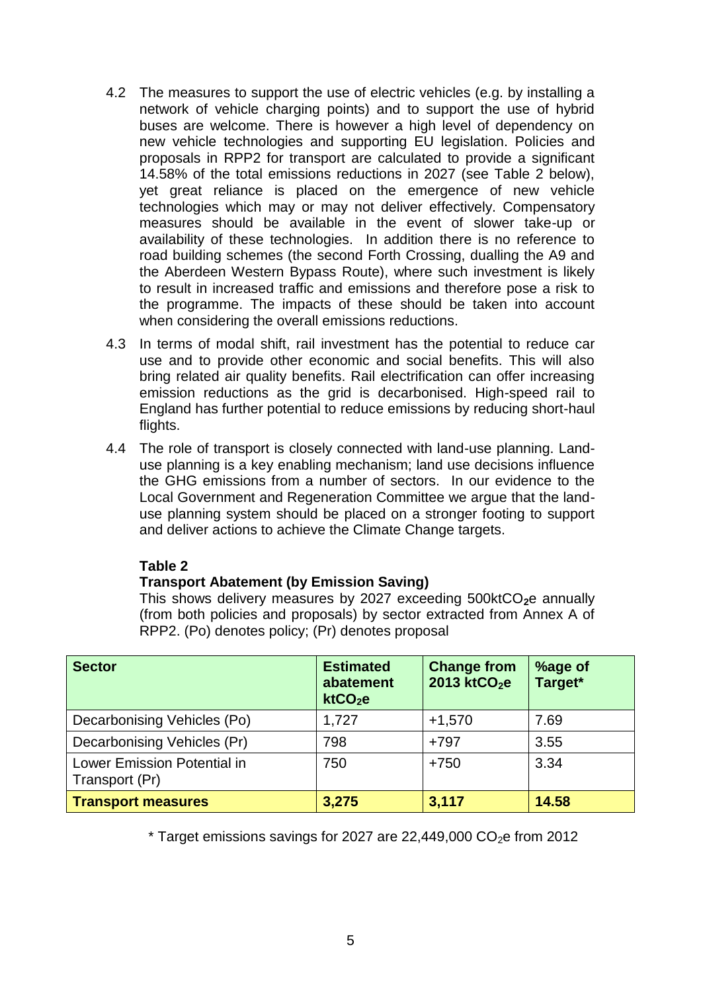- 4.2 The measures to support the use of electric vehicles (e.g. by installing a network of vehicle charging points) and to support the use of hybrid buses are welcome. There is however a high level of dependency on new vehicle technologies and supporting EU legislation. Policies and proposals in RPP2 for transport are calculated to provide a significant 14.58% of the total emissions reductions in 2027 (see Table 2 below), yet great reliance is placed on the emergence of new vehicle technologies which may or may not deliver effectively. Compensatory measures should be available in the event of slower take-up or availability of these technologies. In addition there is no reference to road building schemes (the second Forth Crossing, dualling the A9 and the Aberdeen Western Bypass Route), where such investment is likely to result in increased traffic and emissions and therefore pose a risk to the programme. The impacts of these should be taken into account when considering the overall emissions reductions.
- 4.3 In terms of modal shift, rail investment has the potential to reduce car use and to provide other economic and social benefits. This will also bring related air quality benefits. Rail electrification can offer increasing emission reductions as the grid is decarbonised. High-speed rail to England has further potential to reduce emissions by reducing short-haul flights.
- 4.4 The role of transport is closely connected with land-use planning. Landuse planning is a key enabling mechanism; land use decisions influence the GHG emissions from a number of sectors. In our evidence to the Local Government and Regeneration Committee we argue that the landuse planning system should be placed on a stronger footing to support and deliver actions to achieve the Climate Change targets.

# **Table 2**

# **Transport Abatement (by Emission Saving)**

This shows delivery measures by 2027 exceeding 500ktCO<sub>2</sub>e annually (from both policies and proposals) by sector extracted from Annex A of RPP2. (Po) denotes policy; (Pr) denotes proposal

| <b>Sector</b>                                 | <b>Estimated</b><br>abatement<br>ktCO <sub>2</sub> e | <b>Change from</b><br>2013 ktCO <sub>2</sub> e | %age of<br>Target* |
|-----------------------------------------------|------------------------------------------------------|------------------------------------------------|--------------------|
| Decarbonising Vehicles (Po)                   | 1,727                                                | $+1,570$                                       | 7.69               |
| Decarbonising Vehicles (Pr)                   | 798                                                  | $+797$                                         | 3.55               |
| Lower Emission Potential in<br>Transport (Pr) | 750                                                  | $+750$                                         | 3.34               |
| <b>Transport measures</b>                     | 3,275                                                | 3,117                                          | 14.58              |

 $*$  Target emissions savings for 2027 are 22,449,000 CO<sub>2</sub>e from 2012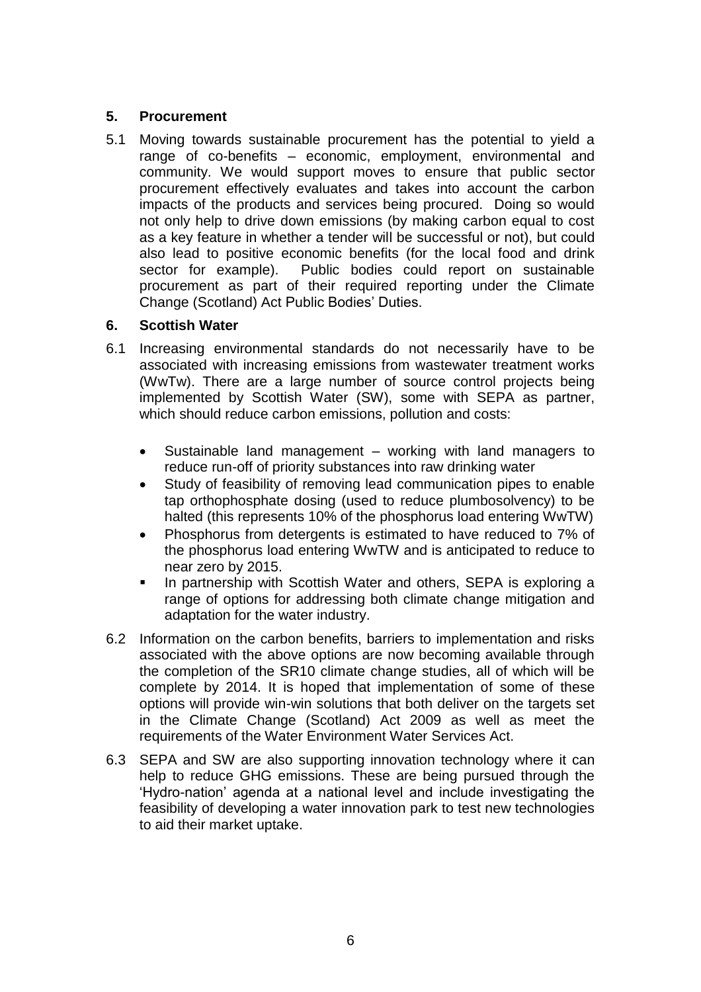# **5. Procurement**

5.1 Moving towards sustainable procurement has the potential to yield a range of co-benefits – economic, employment, environmental and community. We would support moves to ensure that public sector procurement effectively evaluates and takes into account the carbon impacts of the products and services being procured. Doing so would not only help to drive down emissions (by making carbon equal to cost as a key feature in whether a tender will be successful or not), but could also lead to positive economic benefits (for the local food and drink sector for example). Public bodies could report on sustainable procurement as part of their required reporting under the Climate Change (Scotland) Act Public Bodies' Duties.

# **6. Scottish Water**

- 6.1 Increasing environmental standards do not necessarily have to be associated with increasing emissions from wastewater treatment works (WwTw). There are a large number of source control projects being implemented by Scottish Water (SW), some with SEPA as partner, which should reduce carbon emissions, pollution and costs:
	- Sustainable land management working with land managers to reduce run-off of priority substances into raw drinking water
	- Study of feasibility of removing lead communication pipes to enable tap orthophosphate dosing (used to reduce plumbosolvency) to be halted (this represents 10% of the phosphorus load entering WwTW)
	- Phosphorus from detergents is estimated to have reduced to 7% of the phosphorus load entering WwTW and is anticipated to reduce to near zero by 2015.
	- In partnership with Scottish Water and others, SEPA is exploring a range of options for addressing both climate change mitigation and adaptation for the water industry.
- 6.2 Information on the carbon benefits, barriers to implementation and risks associated with the above options are now becoming available through the completion of the SR10 climate change studies, all of which will be complete by 2014. It is hoped that implementation of some of these options will provide win-win solutions that both deliver on the targets set in the Climate Change (Scotland) Act 2009 as well as meet the requirements of the Water Environment Water Services Act.
- 6.3 SEPA and SW are also supporting innovation technology where it can help to reduce GHG emissions. These are being pursued through the 'Hydro-nation' agenda at a national level and include investigating the feasibility of developing a water innovation park to test new technologies to aid their market uptake.